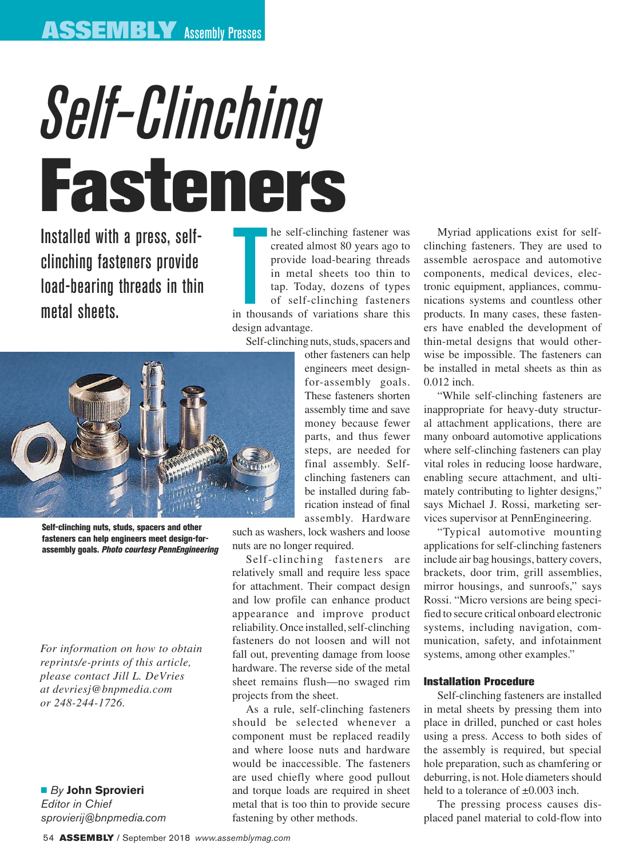# *Self-Clinching*  Fasteners

Installed with a press, selfclinching fasteners provide load-bearing threads in thin metal sheets.

he self-clinching fastener was<br>created almost 80 years ago to<br>provide load-bearing threads<br>in metal sheets too thin to<br>tap. Today, dozens of types<br>of self-clinching fasteners<br>in thousands of variations share this he self-clinching fastener was created almost 80 years ago to provide load-bearing threads in metal sheets too thin to tap. Today, dozens of types of self-clinching fasteners

design advantage.





Self-clinching nuts, studs, spacers and other fasteners can help engineers meet design-forassembly goals. *Photo courtesy PennEngineering*

*For information on how to obtain reprints/e-prints of this article, please contact Jill L. DeVries at devriesj@bnpmedia.com or 248-244-1726.*

n *By* **John Sprovieri** *Editor in Chief sprovierij@bnpmedia.com* other fasteners can help engineers meet designfor-assembly goals. These fasteners shorten assembly time and save money because fewer parts, and thus fewer steps, are needed for final assembly. Selfclinching fasteners can be installed during fabrication instead of final assembly. Hardware

such as washers, lock washers and loose nuts are no longer required.

Self-clinching fasteners are relatively small and require less space for attachment. Their compact design and low profile can enhance product appearance and improve product reliability. Once installed, self-clinching fasteners do not loosen and will not fall out, preventing damage from loose hardware. The reverse side of the metal sheet remains flush—no swaged rim projects from the sheet.

As a rule, self-clinching fasteners should be selected whenever a component must be replaced readily and where loose nuts and hardware would be inaccessible. The fasteners are used chiefly where good pullout and torque loads are required in sheet metal that is too thin to provide secure fastening by other methods.

Myriad applications exist for selfclinching fasteners. They are used to assemble aerospace and automotive components, medical devices, electronic equipment, appliances, communications systems and countless other products. In many cases, these fasteners have enabled the development of thin-metal designs that would otherwise be impossible. The fasteners can be installed in metal sheets as thin as 0.012 inch.

"While self-clinching fasteners are inappropriate for heavy-duty structural attachment applications, there are many onboard automotive applications where self-clinching fasteners can play vital roles in reducing loose hardware, enabling secure attachment, and ultimately contributing to lighter designs," says Michael J. Rossi, marketing services supervisor at PennEngineering.

"Typical automotive mounting applications for self-clinching fasteners include air bag housings, battery covers, brackets, door trim, grill assemblies, mirror housings, and sunroofs," says Rossi. "Micro versions are being specified to secure critical onboard electronic systems, including navigation, communication, safety, and infotainment systems, among other examples."

## Installation Procedure

Self-clinching fasteners are installed in metal sheets by pressing them into place in drilled, punched or cast holes using a press. Access to both sides of the assembly is required, but special hole preparation, such as chamfering or deburring, is not. Hole diameters should held to a tolerance of  $\pm 0.003$  inch.

The pressing process causes displaced panel material to cold-flow into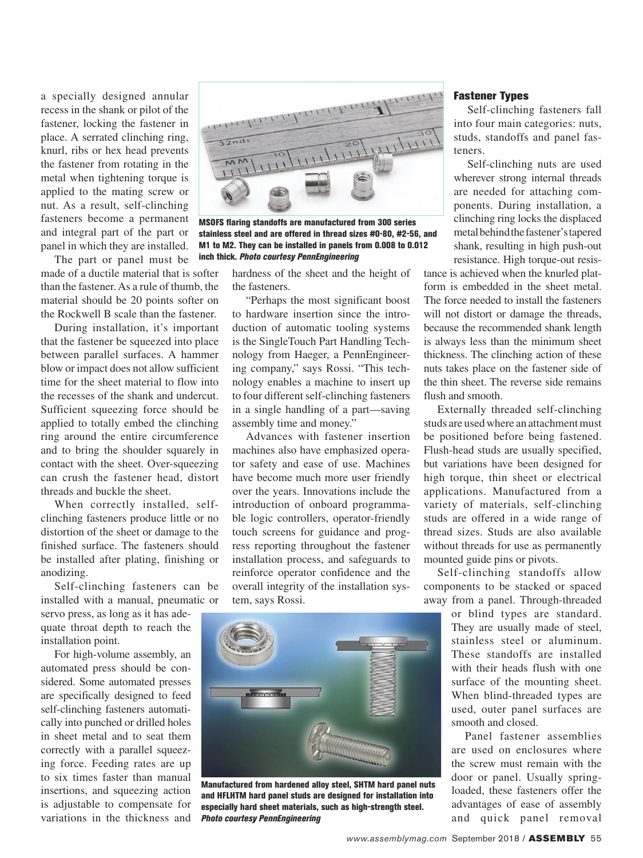a specially designed annular recess in the shank or pilot of the fastener, locking the fastener in place. A serrated clinching ring, knurl, ribs or hex head prevents the fastener from rotating in the metal when tightening torque is applied to the mating screw or nut. As a result, self-clinching fasteners become a permanent and integral part of the part or panel in which they are installed.

The part or panel must be made of a ductile material that is softer than the fastener. As a rule of thumb, the material should be 20 points softer on the Rockwell B scale than the fastener.

During installation, it's important that the fastener be squeezed into place between parallel surfaces. A hammer blow or impact does not allow sufficient time for the sheet material to flow into the recesses of the shank and undercut. Sufficient squeezing force should be applied to totally embed the clinching ring around the entire circumference and to bring the shoulder squarely in contact with the sheet. Over-squeezing can crush the fastener head, distort threads and buckle the sheet.

When correctly installed, selfclinching fasteners produce little or no distortion of the sheet or damage to the finished surface. The fasteners should be installed after plating, finishing or anodizing.

Self-clinching fasteners can be installed with a manual, pneumatic or

servo press, as long as it has adequate throat depth to reach the installation point.

For high-volume assembly, an automated press should be considered. Some automated presses are specifically designed to feed self-clinching fasteners automatically into punched or drilled holes in sheet metal and to seat them correctly with a parallel squeezing force. Feeding rates are up to six times faster than manual insertions, and squeezing action is adjustable to compensate for variations in the thickness and



MSOFS flaring standoffs are manufactured from 300 series stainless steel and are offered in thread sizes #0-80, #2-56, and M1 to M2. They can be installed in panels from 0.008 to 0.012 inch thick. *Photo courtesy PennEngineering*

hardness of the sheet and the height of the fasteners.

"Perhaps the most significant boost to hardware insertion since the introduction of automatic tooling systems is the SingleTouch Part Handling Technology from Haeger, a PennEngineering company," says Rossi. "This technology enables a machine to insert up to four different self-clinching fasteners in a single handling of a part—saving assembly time and money."

Advances with fastener insertion machines also have emphasized operator safety and ease of use. Machines have become much more user friendly over the years. Innovations include the introduction of onboard programmable logic controllers, operator-friendly touch screens for guidance and progress reporting throughout the fastener installation process, and safeguards to reinforce operator confidence and the overall integrity of the installation system, says Rossi.



Manufactured from hardened alloy steel, SHTM hard panel nuts and HFLHTM hard panel studs are designed for installation into especially hard sheet materials, such as high-strength steel. *Photo courtesy PennEngineering*

#### Fastener Types

Self-clinching fasteners fall into four main categories: nuts, studs, standoffs and panel fasteners.

Self-clinching nuts are used wherever strong internal threads are needed for attaching components. During installation, a clinching ring locks the displaced metal behind the fastener's tapered shank, resulting in high push-out resistance. High torque-out resis-

tance is achieved when the knurled platform is embedded in the sheet metal. The force needed to install the fasteners will not distort or damage the threads, because the recommended shank length is always less than the minimum sheet thickness. The clinching action of these nuts takes place on the fastener side of the thin sheet. The reverse side remains flush and smooth.

Externally threaded self-clinching studs are used where an attachment must be positioned before being fastened. Flush-head studs are usually specified, but variations have been designed for high torque, thin sheet or electrical applications. Manufactured from a variety of materials, self-clinching studs are offered in a wide range of thread sizes. Studs are also available without threads for use as permanently mounted guide pins or pivots.

Self-clinching standoffs allow components to be stacked or spaced away from a panel. Through-threaded

> or blind types are standard. They are usually made of steel, stainless steel or aluminum. These standoffs are installed with their heads flush with one surface of the mounting sheet. When blind-threaded types are used, outer panel surfaces are smooth and closed.

> Panel fastener assemblies are used on enclosures where the screw must remain with the door or panel. Usually springloaded, these fasteners offer the advantages of ease of assembly and quick panel removal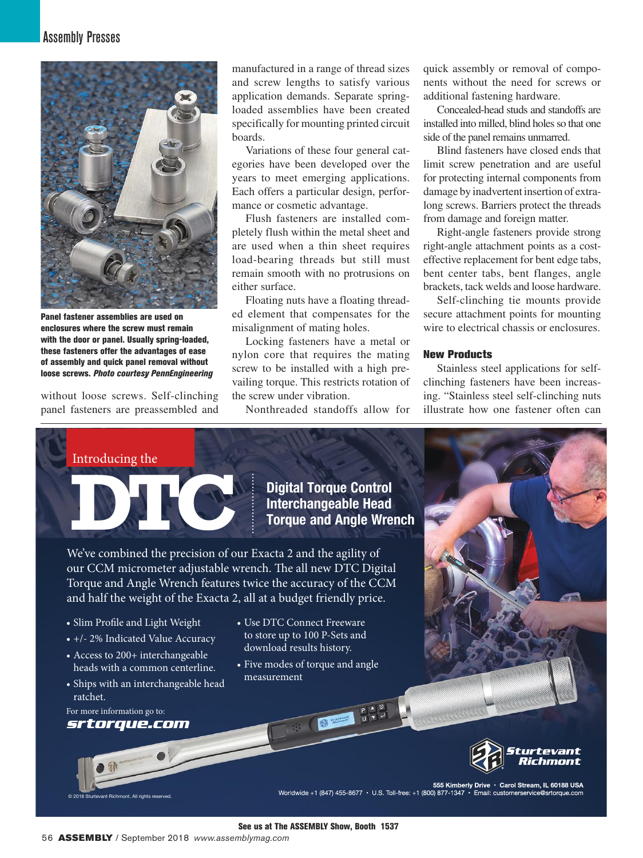

Panel fastener assemblies are used on enclosures where the screw must remain with the door or panel. Usually spring-loaded, these fasteners offer the advantages of ease of assembly and quick panel removal without loose screws. *Photo courtesy PennEngineering*

without loose screws. Self-clinching panel fasteners are preassembled and manufactured in a range of thread sizes and screw lengths to satisfy various application demands. Separate springloaded assemblies have been created specifically for mounting printed circuit boards.

Variations of these four general categories have been developed over the years to meet emerging applications. Each offers a particular design, performance or cosmetic advantage.

Flush fasteners are installed completely flush within the metal sheet and are used when a thin sheet requires load-bearing threads but still must remain smooth with no protrusions on either surface.

Floating nuts have a floating threaded element that compensates for the misalignment of mating holes.

Locking fasteners have a metal or nylon core that requires the mating screw to be installed with a high prevailing torque. This restricts rotation of the screw under vibration.

Nonthreaded standoffs allow for

quick assembly or removal of components without the need for screws or additional fastening hardware.

Concealed-head studs and standoffs are installed into milled, blind holes so that one side of the panel remains unmarred.

Blind fasteners have closed ends that limit screw penetration and are useful for protecting internal components from damage by inadvertent insertion of extralong screws. Barriers protect the threads from damage and foreign matter.

Right-angle fasteners provide strong right-angle attachment points as a costeffective replacement for bent edge tabs, bent center tabs, bent flanges, angle brackets, tack welds and loose hardware.

Self-clinching tie mounts provide secure attachment points for mounting wire to electrical chassis or enclosures.

## New Products

Stainless steel applications for selfclinching fasteners have been increasing. "Stainless steel self-clinching nuts illustrate how one fastener often can

Introducing the

**Digital Torque Control Interchangeable Head <b>Interchangeable Head Control**<br> **Interchangeable Head Propriet and Angle Wrench** 

We've combined the precision of our Exacta 2 and the agility of our CCM micrometer adjustable wrench. The all new DTC Digital Torque and Angle Wrench features twice the accuracy of the CCM and half the weight of the Exacta 2, all at a budget friendly price.

- 
- +/- 2% Indicated Value Accuracy
- Access to 200+ interchangeable heads with a common centerline.
- Ships with an interchangeable head ratchet.

For more information go to: *srtorque.com*

@ 2018 Sturtevant Richmont. All rights reserved.



• Five modes of torque and angle measurement





**255 Kimberly Drive • Carol Stream, IL 60188 USA<br>Worldwide +1 (847) 455-8677 • U.S. Toll-free: +1 (800) 877-1347 • Email: customerservice@srtorque.com** 

See us at The ASSEMBLY Show, Booth 1537